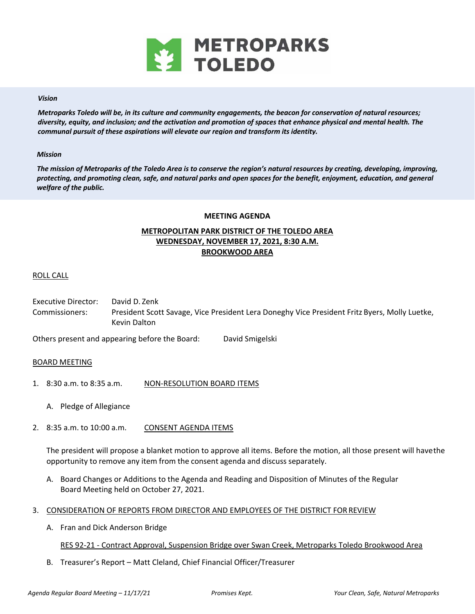

### *Vision*

*Metroparks Toledo will be, in its culture and community engagements, the beacon for conservation of natural resources; diversity, equity, and inclusion; and the activation and promotion of spaces that enhance physical and mental health. The communal pursuit of these aspirations will elevate our region and transform its identity.* 

### *Mission*

*The mission of Metroparks of the Toledo Area is to conserve the region's natural resources by creating, developing, improving, protecting, and promoting clean, safe, and natural parks and open spaces for the benefit, enjoyment, education, and general welfare of the public.* 

### **MEETING AGENDA**

# **METROPOLITAN PARK DISTRICT OF THE TOLEDO AREA WEDNESDAY, NOVEMBER 17, 2021, 8:30 A.M. BROOKWOOD AREA**

## ROLL CALL

Executive Director: David D. Zenk Commissioners: President Scott Savage, Vice President Lera Doneghy Vice President Fritz Byers, Molly Luetke, Kevin Dalton

Others present and appearing before the Board: David Smigelski

### BOARD MEETING

- 1. 8:30 a.m. to 8:35 a.m. NON-RESOLUTION BOARD ITEMS
	- A. Pledge of Allegiance
- 2. 8:35 a.m. to 10:00 a.m. CONSENT AGENDA ITEMS

The president will propose a blanket motion to approve all items. Before the motion, all those present will have the opportunity to remove any item from the consent agenda and discuss separately.

- A. Board Changes or Additions to the Agenda and Reading and Disposition of Minutes of the Regular Board Meeting held on October 27, 2021.
- 3. CONSIDERATION OF REPORTS FROM DIRECTOR AND EMPLOYEES OF THE DISTRICT FOR REVIEW
	- A. Fran and Dick Anderson Bridge

## RES 92‐21 ‐ Contract Approval, Suspension Bridge over Swan Creek, Metroparks Toledo Brookwood Area

B. Treasurer's Report – Matt Cleland, Chief Financial Officer/Treasurer